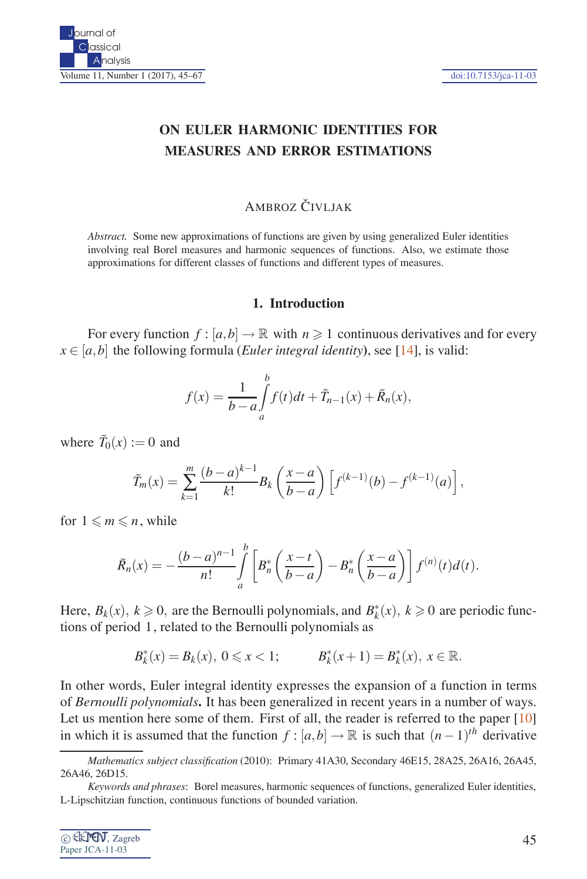# **ON EULER HARMONIC IDENTITIES FOR MEASURES AND ERROR ESTIMATIONS**

## AMBROZ ČIVI JAK

*Abstract.* Some new approximations of functions are given by using generalized Euler identities involving real Borel measures and harmonic sequences of functions. Also, we estimate those approximations for different classes of functions and different types of measures.

#### **1. Introduction**

For every function  $f : [a, b] \to \mathbb{R}$  with  $n \geq 1$  continuous derivatives and for every  $x \in [a, b]$  the following formula (*Euler integral identity*), see [14], is valid:

$$
f(x) = \frac{1}{b-a} \int_{a}^{b} f(t)dt + \tilde{T}_{n-1}(x) + \tilde{R}_n(x),
$$

where  $\tilde{T}_0(x) := 0$  and

$$
\tilde{T}_m(x) = \sum_{k=1}^m \frac{(b-a)^{k-1}}{k!} B_k\left(\frac{x-a}{b-a}\right) \left[f^{(k-1)}(b) - f^{(k-1)}(a)\right],
$$

for  $1 \leq m \leq n$ , while

$$
\tilde{R}_n(x) = -\frac{(b-a)^{n-1}}{n!} \int_a^b \left[ B_n^* \left( \frac{x-t}{b-a} \right) - B_n^* \left( \frac{x-a}{b-a} \right) \right] f^{(n)}(t) d(t).
$$

Here,  $B_k(x)$ ,  $k \ge 0$ , are the Bernoulli polynomials, and  $B_k^*(x)$ ,  $k \ge 0$  are periodic functions of period 1, related to the Bernoulli polynomials as

$$
B_k^*(x) = B_k(x), \ 0 \le x < 1; \qquad \quad B_k^*(x+1) = B_k^*(x), \ x \in \mathbb{R}.
$$

In other words, Euler integral identity expresses the expansion of a function in terms of *Bernoulli polynomials***.** It has been generalized in recent years in a number of ways. Let us mention here some of them. First of all, the reader is referred to the paper  $[10]$ in which it is assumed that the function  $f : [a,b] \to \mathbb{R}$  is such that  $(n-1)^{th}$  derivative

*Keywords and phrases*: Borel measures, harmonic sequences of functions, generalized Euler identities, L-Lipschitzian function, continuous functions of bounded variation.



*Mathematics subject classification* (2010): Primary 41A30, Secondary 46E15, 28A25, 26A16, 26A45, 26A46, 26D15.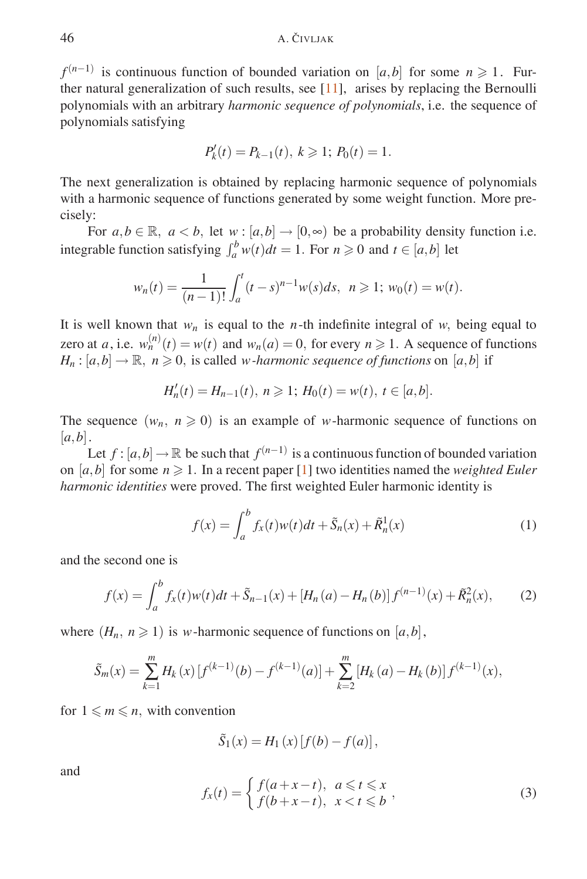*f*<sup>(*n*−1)</sup> is continuous function of bounded variation on [*a*,*b*] for some *n* ≥ 1. Further natural generalization of such results, see [11], arises by replacing the Bernoulli polynomials with an arbitrary *harmonic sequence of polynomials*, i.e. the sequence of polynomials satisfying

$$
P'_k(t) = P_{k-1}(t), \ k \geq 1; \ P_0(t) = 1.
$$

The next generalization is obtained by replacing harmonic sequence of polynomials with a harmonic sequence of functions generated by some weight function. More precisely:

For  $a, b \in \mathbb{R}$ ,  $a < b$ , let  $w : [a, b] \to [0, \infty)$  be a probability density function i.e. integrable function satisfying  $\int_a^b w(t)dt = 1$ . For  $n \ge 0$  and  $t \in [a,b]$  let

$$
w_n(t) = \frac{1}{(n-1)!} \int_a^t (t-s)^{n-1} w(s) ds, \ \ n \geq 1; \ w_0(t) = w(t).
$$

It is well known that  $w_n$  is equal to the *n*-th indefinite integral of *w*, being equal to zero at *a*, i.e.  $w_n^{(n)}(t) = w(t)$  and  $w_n(a) = 0$ , for every  $n \ge 1$ . A sequence of functions  $H_n : [a,b] \to \mathbb{R}, n \geq 0$ , is called *w* -*harmonic sequence of functions* on [*a*,*b*] if

$$
H'_n(t) = H_{n-1}(t), \ n \geq 1; \ H_0(t) = w(t), \ t \in [a, b].
$$

The sequence  $(w_n, n \geq 0)$  is an example of *w*-harmonic sequence of functions on  $[a,b]$ .

Let  $f$  :  $[a,b] \to \mathbb{R}$  be such that  $f^{(n-1)}$  is a continuous function of bounded variation on  $[a,b]$  for some  $n \ge 1$ . In a recent paper [1] two identities named the *weighted Euler harmonic identities* were proved. The first weighted Euler harmonic identity is

$$
f(x) = \int_{a}^{b} f_{x}(t)w(t)dt + \tilde{S}_{n}(x) + \tilde{R}_{n}^{1}(x)
$$
 (1)

and the second one is

$$
f(x) = \int_{a}^{b} f_{x}(t)w(t)dt + \tilde{S}_{n-1}(x) + [H_{n}(a) - H_{n}(b)]f^{(n-1)}(x) + \tilde{R}_{n}^{2}(x),
$$
 (2)

where  $(H_n, n \geq 1)$  is *w*-harmonic sequence of functions on  $[a, b]$ ,

$$
\tilde{S}_m(x) = \sum_{k=1}^m H_k(x) \left[ f^{(k-1)}(b) - f^{(k-1)}(a) \right] + \sum_{k=2}^m \left[ H_k(a) - H_k(b) \right] f^{(k-1)}(x),
$$

for  $1 \leq m \leq n$ , with convention

$$
\tilde{S}_1(x) = H_1(x) [f(b) - f(a)],
$$

and

$$
f_x(t) = \begin{cases} f(a+x-t), & a \leq t \leq x \\ f(b+x-t), & x < t \leq b \end{cases},
$$
\n(3)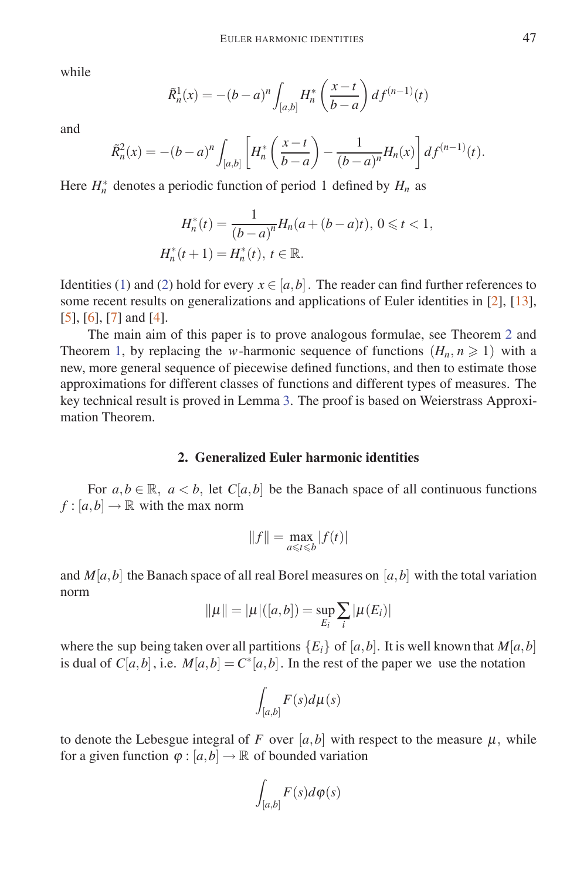while

$$
\tilde{R}_n^1(x) = -(b-a)^n \int_{[a,b]} H_n^* \left( \frac{x-t}{b-a} \right) d f^{(n-1)}(t)
$$

and

$$
\tilde{R}_n^2(x) = -(b-a)^n \int_{[a,b]} \left[ H_n^* \left( \frac{x-t}{b-a} \right) - \frac{1}{(b-a)^n} H_n(x) \right] df^{(n-1)}(t).
$$

Here  $H_n^*$  denotes a periodic function of period 1 defined by  $H_n$  as

$$
H_n^*(t) = \frac{1}{(b-a)^n} H_n(a + (b-a)t), \ 0 \le t < 1,
$$
\n
$$
H_n^*(t+1) = H_n^*(t), \ t \in \mathbb{R}.
$$

Identities (1) and (2) hold for every  $x \in [a, b]$ . The reader can find further references to some recent results on generalizations and applications of Euler identities in [2], [13], [5], [6], [7] and [4].

The main aim of this paper is to prove analogous formulae, see Theorem 2 and Theorem 1, by replacing the *w*-harmonic sequence of functions  $(H_n, n \ge 1)$  with a new, more general sequence of piecewise defined functions, and then to estimate those approximations for different classes of functions and different types of measures. The key technical result is proved in Lemma 3. The proof is based on Weierstrass Approximation Theorem.

### **2. Generalized Euler harmonic identities**

For  $a, b \in \mathbb{R}$ ,  $a < b$ , let  $C[a, b]$  be the Banach space of all continuous functions  $f : [a, b] \to \mathbb{R}$  with the max norm

$$
||f|| = \max_{a \leq t \leq b} |f(t)|
$$

and  $M[a, b]$  the Banach space of all real Borel measures on [a, b] with the total variation norm

$$
\|\mu\| = |\mu|([a,b]) = \sup_{E_i} \sum_i |\mu(E_i)|
$$

where the sup being taken over all partitions  ${E_i}$  of  $[a, b]$ . It is well known that  $M[a, b]$ is dual of  $C[a,b]$ , i.e.  $M[a,b] = C^*[a,b]$ . In the rest of the paper we use the notation

$$
\int_{[a,b]} F(s) d\mu(s)
$$

to denote the Lebesgue integral of *F* over  $[a, b]$  with respect to the measure  $\mu$ , while for a given function  $\varphi$  :  $[a,b] \to \mathbb{R}$  of bounded variation

$$
\int_{[a,b]} F(s)d\varphi(s)
$$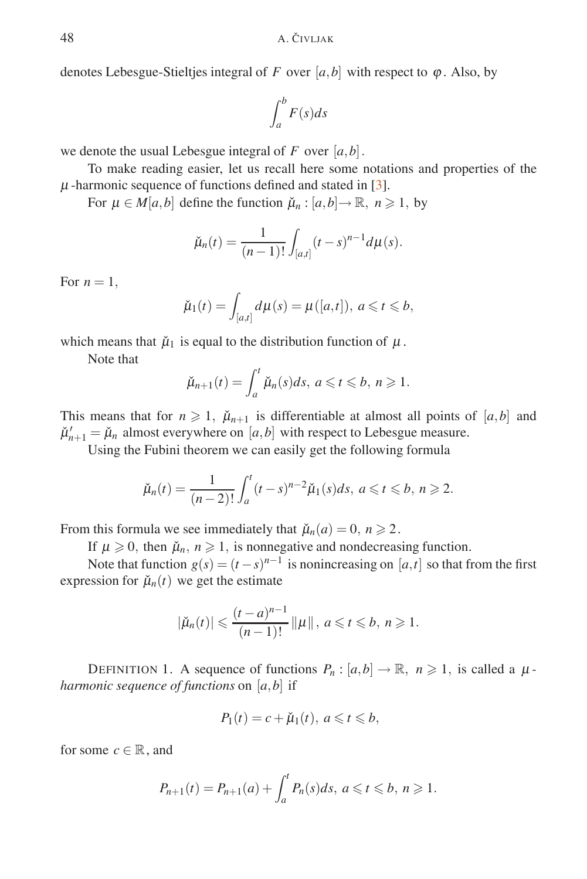denotes Lebesgue-Stieltjes integral of *F* over [ $a$ ,  $b$ ] with respect to  $\varphi$ . Also, by

$$
\int_{a}^{b} F(s)ds
$$

we denote the usual Lebesgue integral of  $F$  over  $[a, b]$ .

To make reading easier, let us recall here some notations and properties of the  $\mu$ -harmonic sequence of functions defined and stated in [3].

For  $\mu \in M[a, b]$  define the function  $\check{\mu}_n : [a, b] \to \mathbb{R}, n \geq 1$ , by

$$
\check{\mu}_n(t) = \frac{1}{(n-1)!} \int_{[a,t]} (t-s)^{n-1} d\mu(s).
$$

For  $n = 1$ ,

$$
\check{\mu}_1(t) = \int_{[a,t]} d\mu(s) = \mu([a,t]), \ a \leq t \leq b,
$$

which means that  $\mu_1$  is equal to the distribution function of  $\mu$ .

Note that

$$
\breve{\mu}_{n+1}(t) = \int_a^t \breve{\mu}_n(s)ds, \ a \leq t \leq b, \ n \geq 1.
$$

This means that for  $n \ge 1$ ,  $\mu_{n+1}$  is differentiable at almost all points of  $[a,b]$  and  $\mu'_{n+1} = \mu_n$  almost everywhere on [*a*,*b*] with respect to Lebesgue measure.

Using the Fubini theorem we can easily get the following formula

$$
\check{\mu}_n(t) = \frac{1}{(n-2)!} \int_a^t (t-s)^{n-2} \check{\mu}_1(s) ds, \ a \leq t \leq b, \ n \geq 2.
$$

From this formula we see immediately that  $\check{\mu}_n(a) = 0, n \geq 2$ .

If  $\mu \geq 0$ , then  $\mu_n$ ,  $n \geq 1$ , is nonnegative and nondecreasing function.

Note that function  $g(s) = (t - s)^{n-1}$  is nonincreasing on [*a*,*t*] so that from the first expression for  $\tilde{\mu}_n(t)$  we get the estimate

$$
|\check{\mu}_n(t)| \leq \frac{(t-a)^{n-1}}{(n-1)!} ||\mu||, a \leq t \leq b, n \geq 1.
$$

DEFINITION 1. A sequence of functions  $P_n : [a,b] \to \mathbb{R}, n \geq 1$ , is called a  $\mu$ *harmonic sequence of functions* on [*a,b*] if

$$
P_1(t) = c + \check{\mu}_1(t), \ a \leqslant t \leqslant b,
$$

for some  $c \in \mathbb{R}$ , and

$$
P_{n+1}(t) = P_{n+1}(a) + \int_a^t P_n(s)ds, \ a \leq t \leq b, \ n \geq 1.
$$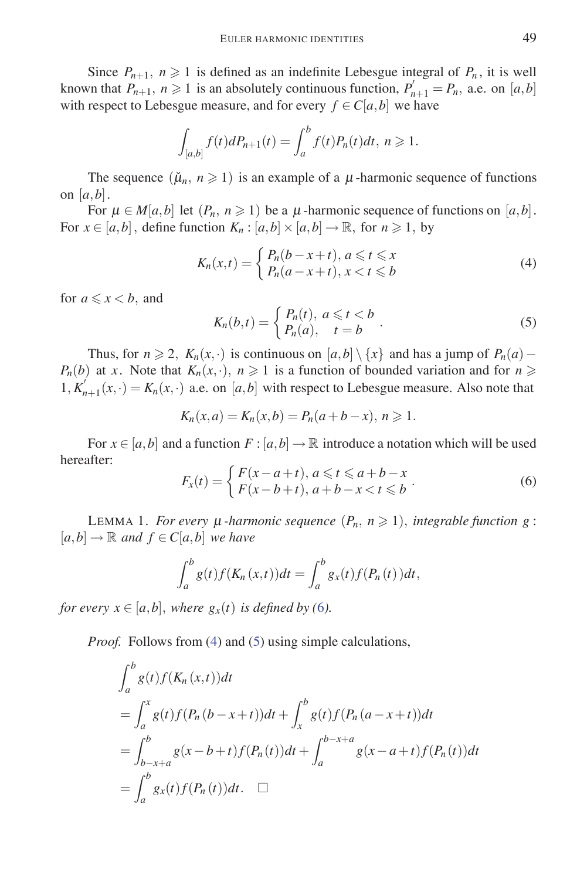Since  $P_{n+1}$ ,  $n \geq 1$  is defined as an indefinite Lebesgue integral of  $P_n$ , it is well known that  $P_{n+1}$ ,  $n \ge 1$  is an absolutely continuous function,  $P'_{n+1} = P_n$ , a.e. on [a, b] with respect to Lebesgue measure, and for every  $f \in C[a, b]$  we have

$$
\int_{[a,b]} f(t) dP_{n+1}(t) = \int_a^b f(t) P_n(t) dt, \ n \geq 1.
$$

The sequence  $(\mu_n, n \geq 1)$  is an example of a  $\mu$ -harmonic sequence of functions on  $[a,b]$ .

For  $\mu \in M[a, b]$  let  $(P_n, n \ge 1)$  be a  $\mu$ -harmonic sequence of functions on  $[a, b]$ . For  $x \in [a, b]$ , define function  $K_n : [a, b] \times [a, b] \rightarrow \mathbb{R}$ , for  $n \ge 1$ , by

$$
K_n(x,t) = \begin{cases} P_n(b-x+t), a \leq t \leq x \\ P_n(a-x+t), x < t \leq b \end{cases} \tag{4}
$$

for  $a \leq x < b$ , and

$$
K_n(b,t) = \begin{cases} P_n(t), & a \leq t < b \\ P_n(a), & t = b \end{cases} \tag{5}
$$

Thus, for  $n \ge 2$ ,  $K_n(x, \cdot)$  is continuous on  $[a, b] \setminus \{x\}$  and has a jump of  $P_n(a)$  –  $P_n(b)$  at *x*. Note that  $K_n(x, \cdot)$ *,*  $n \geq 1$  is a function of bounded variation and for  $n \geq 1$  $1, K'_{n+1}(x, \cdot) = K_n(x, \cdot)$  a.e. on [*a*,*b*] with respect to Lebesgue measure. Also note that

$$
K_n(x, a) = K_n(x, b) = P_n(a + b - x), n \ge 1.
$$

For  $x \in [a, b]$  and a function  $F : [a, b] \to \mathbb{R}$  introduce a notation which will be used hereafter:

$$
F_x(t) = \begin{cases} F(x - a + t), & a \leq t \leq a + b - x \\ F(x - b + t), & a + b - x < t \leq b \end{cases} \tag{6}
$$

LEMMA 1. *For every*  $\mu$  *-harmonic sequence*  $(P_n, n \geq 1)$ *, integrable function g*:  $[a,b] \rightarrow \mathbb{R}$  *and*  $f \in C[a,b]$  *we have* 

$$
\int_a^b g(t)f(K_n(x,t))dt = \int_a^b g_x(t)f(P_n(t))dt,
$$

*for every*  $x \in [a,b]$ *, where*  $g_x(t)$  *is defined by* (6).

*Proof.* Follows from (4) and (5) using simple calculations,

$$
\int_{a}^{b} g(t) f(K_{n}(x, t)) dt
$$
\n
$$
= \int_{a}^{x} g(t) f(P_{n}(b-x+t)) dt + \int_{x}^{b} g(t) f(P_{n}(a-x+t)) dt
$$
\n
$$
= \int_{b-x+a}^{b} g(x-b+t) f(P_{n}(t)) dt + \int_{a}^{b-x+a} g(x-a+t) f(P_{n}(t)) dt
$$
\n
$$
= \int_{a}^{b} g_{x}(t) f(P_{n}(t)) dt. \quad \Box
$$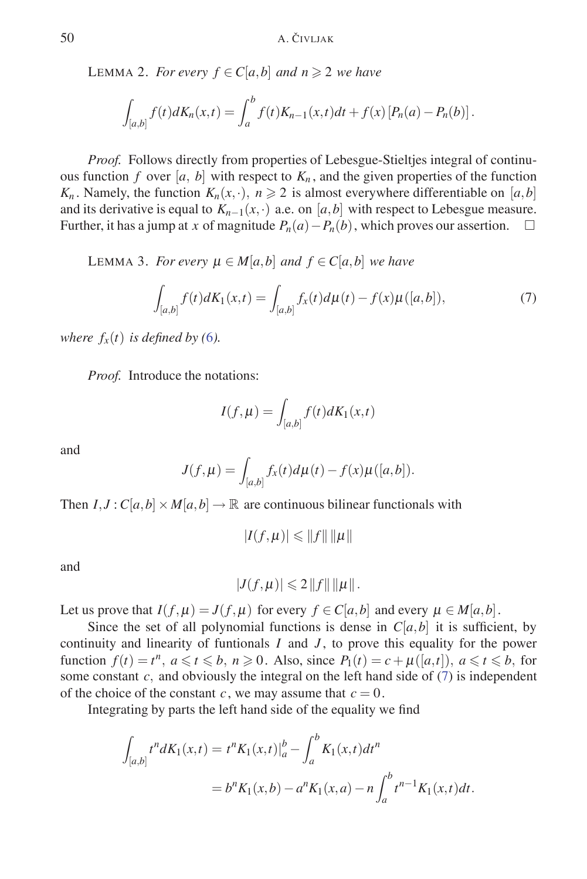LEMMA 2. *For every*  $f \in C[a,b]$  *and*  $n \ge 2$  *we have* 

$$
\int_{[a,b]} f(t) dK_n(x,t) = \int_a^b f(t) K_{n-1}(x,t) dt + f(x) [P_n(a) - P_n(b)].
$$

*Proof.* Follows directly from properties of Lebesgue-Stieltjes integral of continuous function *f* over [*a*, *b*] with respect to  $K_n$ , and the given properties of the function *K<sub>n</sub>*. Namely, the function  $K_n(x, \cdot)$ ,  $n \ge 2$  is almost everywhere differentiable on [*a*,*b*] and its derivative is equal to  $K_{n-1}(x, \cdot)$  a.e. on [a, b] with respect to Lebesgue measure. Further, it has a jump at *x* of magnitude  $P_n(a) - P_n(b)$ , which proves our assertion. □

LEMMA 3. *For every* <sup>μ</sup> ∈ *M*[*a,b*] *and f* ∈ *C*[*a,b*] *we have*

$$
\int_{[a,b]} f(t)dK_1(x,t) = \int_{[a,b]} f_x(t)d\mu(t) - f(x)\mu([a,b]),\tag{7}
$$

*where*  $f_x(t)$  *is defined by* (6).

*Proof.* Introduce the notations:

$$
I(f, \mu) = \int_{[a,b]} f(t) dK_1(x,t)
$$

and

$$
J(f, \mu) = \int_{[a,b]} f_x(t) d\mu(t) - f(x) \mu([a,b]).
$$

Then  $I, J: C[a, b] \times M[a, b] \rightarrow \mathbb{R}$  are continuous bilinear functionals with

$$
|I(f,\mu)| \leq ||f|| \, ||\mu||
$$

and

$$
|J(f,\mu)|\leqslant 2||f||\Vert\mu||.
$$

Let us prove that  $I(f, \mu) = J(f, \mu)$  for every  $f \in C[a, b]$  and every  $\mu \in M[a, b]$ .

Since the set of all polynomial functions is dense in  $C[a,b]$  it is sufficient, by continuity and linearity of funtionals *I* and *J* , to prove this equality for the power function  $f(t) = t^n$ ,  $a \le t \le b$ ,  $n \ge 0$ . Also, since  $P_1(t) = c + \mu([a,t])$ ,  $a \le t \le b$ , for some constant  $c$ , and obviously the integral on the left hand side of  $(7)$  is independent of the choice of the constant *c*, we may assume that  $c = 0$ .

Integrating by parts the left hand side of the equality we find

$$
\int_{[a,b]} t^n dK_1(x,t) = t^n K_1(x,t) \Big|_a^b - \int_a^b K_1(x,t) dt^n
$$
  
=  $b^n K_1(x,b) - a^n K_1(x,a) - n \int_a^b t^{n-1} K_1(x,t) dt.$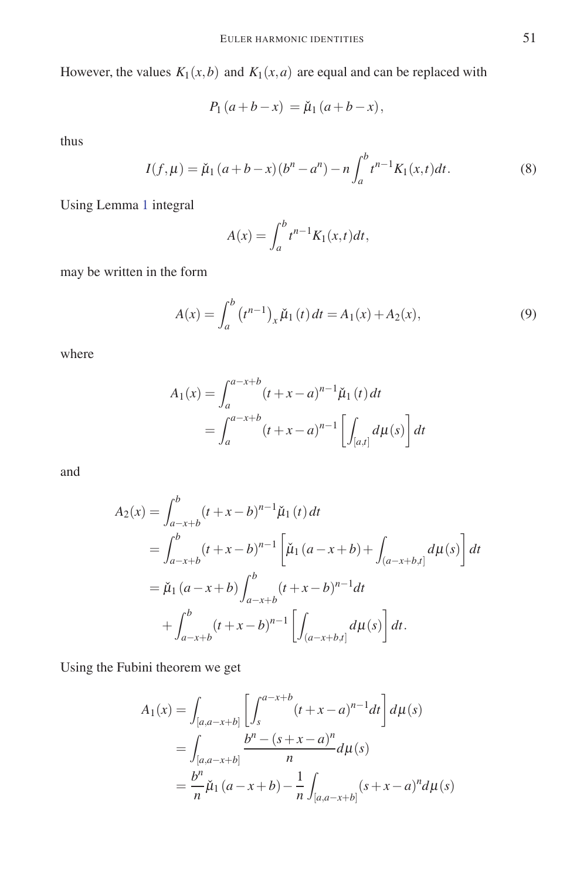However, the values  $K_1(x, b)$  and  $K_1(x, a)$  are equal and can be replaced with

$$
P_1(a+b-x) = \check{\mu}_1(a+b-x),
$$

thus

$$
I(f, \mu) = \check{\mu}_1 (a+b-x) (b^n - a^n) - n \int_a^b t^{n-1} K_1(x, t) dt.
$$
 (8)

Using Lemma 1 integral

$$
A(x) = \int_a^b t^{n-1} K_1(x, t) dt,
$$

may be written in the form

$$
A(x) = \int_{a}^{b} (t^{n-1})_{x} \check{\mu}_{1}(t) dt = A_{1}(x) + A_{2}(x),
$$
\n(9)

where

$$
A_1(x) = \int_a^{a-x+b} (t+x-a)^{n-1} \check{\mu}_1(t) dt
$$
  
= 
$$
\int_a^{a-x+b} (t+x-a)^{n-1} \left[ \int_{[a,t]} d\mu(s) \right] dt
$$

and

$$
A_2(x) = \int_{a-x+b}^b (t+x-b)^{n-1} \check{\mu}_1(t) dt
$$
  
= 
$$
\int_{a-x+b}^b (t+x-b)^{n-1} \left[ \check{\mu}_1(a-x+b) + \int_{(a-x+b,t]} d\mu(s) \right] dt
$$
  
= 
$$
\check{\mu}_1(a-x+b) \int_{a-x+b}^b (t+x-b)^{n-1} dt
$$
  
+ 
$$
\int_{a-x+b}^b (t+x-b)^{n-1} \left[ \int_{(a-x+b,t]} d\mu(s) \right] dt.
$$

Using the Fubini theorem we get

$$
A_1(x) = \int_{[a,a-x+b]} \left[ \int_s^{a-x+b} (t+x-a)^{n-1} dt \right] d\mu(s)
$$
  
= 
$$
\int_{[a,a-x+b]} \frac{b^n - (s+x-a)^n}{n} d\mu(s)
$$
  
= 
$$
\frac{b^n}{n} \tilde{\mu}_1 (a-x+b) - \frac{1}{n} \int_{[a,a-x+b]} (s+x-a)^n d\mu(s)
$$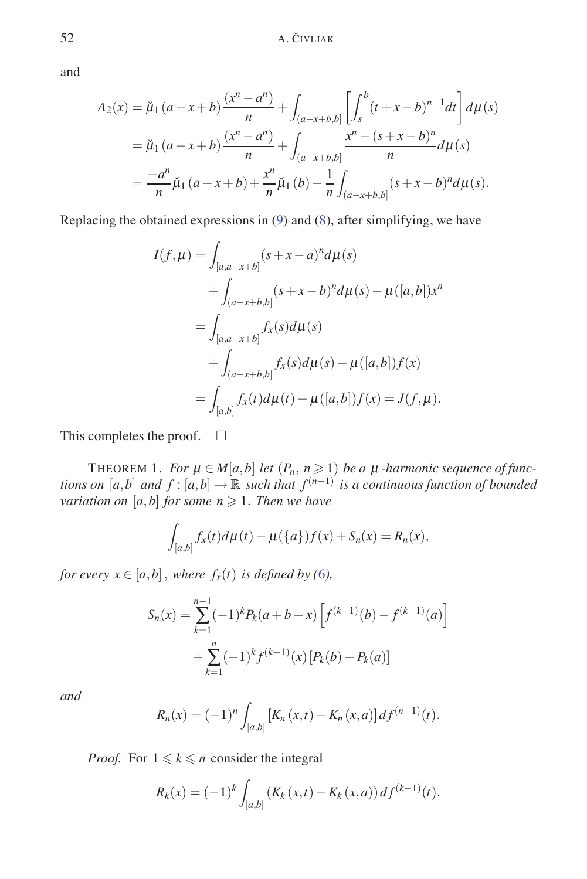and

$$
A_2(x) = \check{\mu}_1(a-x+b)\frac{(x^n - a^n)}{n} + \int_{(a-x+b,b]} \left[ \int_s^b (t+x-b)^{n-1} dt \right] d\mu(s)
$$
  
=  $\check{\mu}_1(a-x+b)\frac{(x^n - a^n)}{n} + \int_{(a-x+b,b]} \frac{x^n - (s+x-b)^n}{n} d\mu(s)$   
=  $\frac{-a^n}{n} \check{\mu}_1(a-x+b) + \frac{x^n}{n} \check{\mu}_1(b) - \frac{1}{n} \int_{(a-x+b,b]} (s+x-b)^n d\mu(s).$ 

Replacing the obtained expressions in (9) and (8), after simplifying, we have

$$
I(f, \mu) = \int_{[a,a-x+b]} (s+x-a)^n d\mu(s)
$$
  
+ 
$$
\int_{(a-x+b,b]} (s+x-b)^n d\mu(s) - \mu([a,b])x^n
$$
  
= 
$$
\int_{[a,a-x+b]} f_x(s) d\mu(s)
$$
  
+ 
$$
\int_{(a-x+b,b]} f_x(s) d\mu(s) - \mu([a,b])f(x)
$$
  
= 
$$
\int_{[a,b]} f_x(t) d\mu(t) - \mu([a,b])f(x) = J(f, \mu).
$$

This completes the proof.  $\square$ 

THEOREM 1. *For*  $\mu \in M[a,b]$  *let*  $(P_n, n \geq 1)$  *be a*  $\mu$  *-harmonic sequence of functions on* [*a*,*b*] *and*  $f$  : [*a*,*b*]  $\rightarrow \mathbb{R}$  *such that*  $f^{(n-1)}$  *is a continuous function of bounded variation on*  $[a,b]$  *for some n*  $\geqslant$  1*. Then we have* 

$$
\int_{[a,b]} f_x(t) d\mu(t) - \mu({a}) f(x) + S_n(x) = R_n(x),
$$

*for every*  $x \in [a,b]$ *, where*  $f_x(t)$  *is defined by* (6*)*,

$$
S_n(x) = \sum_{k=1}^{n-1} (-1)^k P_k(a+b-x) \left[ f^{(k-1)}(b) - f^{(k-1)}(a) \right]
$$
  
+ 
$$
\sum_{k=1}^n (-1)^k f^{(k-1)}(x) \left[ P_k(b) - P_k(a) \right]
$$

*and*

$$
R_n(x) = (-1)^n \int_{[a,b]} [K_n(x,t) - K_n(x,a)] df^{(n-1)}(t).
$$

*Proof.* For  $1 \leq k \leq n$  consider the integral

$$
R_k(x) = (-1)^k \int_{[a,b]} (K_k(x,t) - K_k(x,a)) \, df^{(k-1)}(t).
$$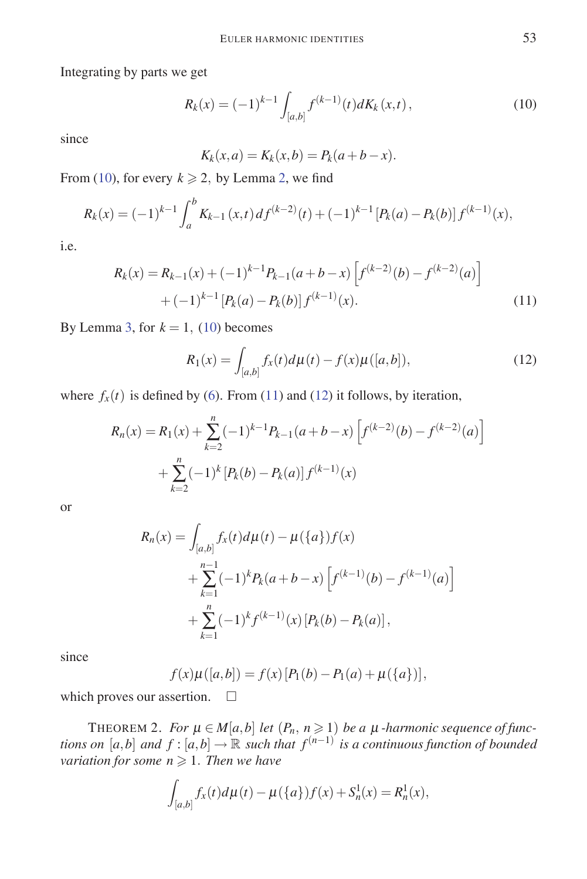Integrating by parts we get

$$
R_k(x) = (-1)^{k-1} \int_{[a,b]} f^{(k-1)}(t) dK_k(x,t), \qquad (10)
$$

since

$$
K_k(x, a) = K_k(x, b) = P_k(a + b - x).
$$

From (10), for every  $k \ge 2$ , by Lemma 2, we find

$$
R_k(x) = (-1)^{k-1} \int_a^b K_{k-1}(x,t) \, df^{(k-2)}(t) + (-1)^{k-1} \left[ P_k(a) - P_k(b) \right] f^{(k-1)}(x),
$$

i.e.

$$
R_k(x) = R_{k-1}(x) + (-1)^{k-1} P_{k-1}(a+b-x) \left[ f^{(k-2)}(b) - f^{(k-2)}(a) \right] + (-1)^{k-1} \left[ P_k(a) - P_k(b) \right] f^{(k-1)}(x).
$$
\n(11)

By Lemma 3, for  $k = 1$ , (10) becomes

$$
R_1(x) = \int_{[a,b]} f_x(t) d\mu(t) - f(x)\mu([a,b]),
$$
\n(12)

where  $f_x(t)$  is defined by (6). From (11) and (12) it follows, by iteration,

$$
R_n(x) = R_1(x) + \sum_{k=2}^n (-1)^{k-1} P_{k-1}(a+b-x) \left[ f^{(k-2)}(b) - f^{(k-2)}(a) \right]
$$

$$
+ \sum_{k=2}^n (-1)^k \left[ P_k(b) - P_k(a) \right] f^{(k-1)}(x)
$$

or

$$
R_n(x) = \int_{[a,b]} f_x(t) d\mu(t) - \mu({a}) f(x)
$$
  
+ 
$$
\sum_{k=1}^{n-1} (-1)^k P_k(a+b-x) \left[ f^{(k-1)}(b) - f^{(k-1)}(a) \right]
$$
  
+ 
$$
\sum_{k=1}^n (-1)^k f^{(k-1)}(x) [P_k(b) - P_k(a)],
$$

since

$$
f(x)\mu([a,b]) = f(x)[P_1(b) - P_1(a) + \mu({a})],
$$

which proves our assertion.  $\square$ 

THEOREM 2. *For*  $\mu \in M[a,b]$  *let*  $(P_n, n \geq 1)$  *be a*  $\mu$  *-harmonic sequence of functions on* [*a*,*b*] *and*  $f$  : [*a*,*b*]  $\rightarrow \mathbb{R}$  *such that*  $f^{(n-1)}$  *is a continuous function of bounded*  $variation for some n \geqslant 1$ . Then we have

$$
\int_{[a,b]} f_x(t) d\mu(t) - \mu({a}) f(x) + S_n^1(x) = R_n^1(x),
$$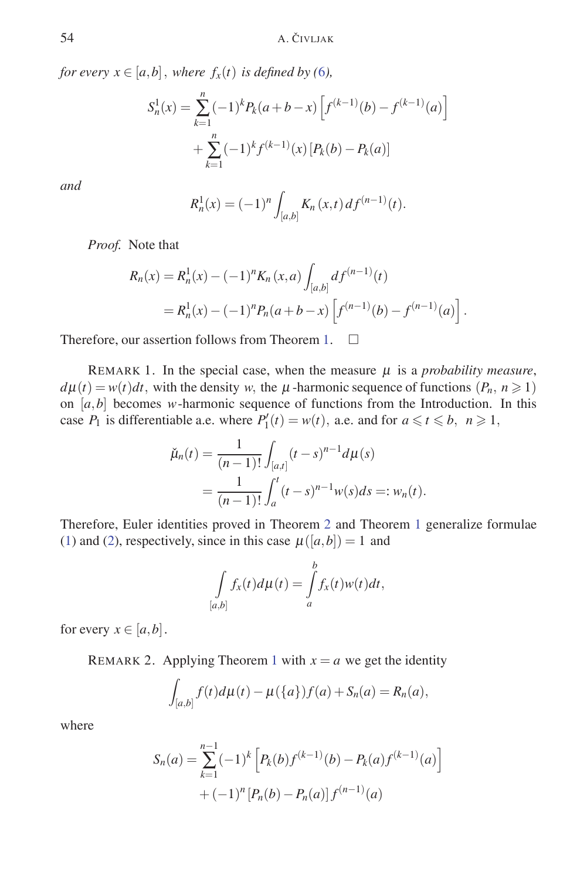*for every*  $x \in [a,b]$ *, where*  $f_x(t)$  *is defined by* (6*)*,

$$
S_n^1(x) = \sum_{k=1}^n (-1)^k P_k(a+b-x) \left[ f^{(k-1)}(b) - f^{(k-1)}(a) \right]
$$

$$
+ \sum_{k=1}^n (-1)^k f^{(k-1)}(x) \left[ P_k(b) - P_k(a) \right]
$$

*and*

$$
R_n^1(x) = (-1)^n \int_{[a,b]} K_n(x,t) \, df^{(n-1)}(t).
$$

*Proof.* Note that

$$
R_n(x) = R_n^1(x) - (-1)^n K_n(x, a) \int_{[a,b]} df^{(n-1)}(t)
$$
  
=  $R_n^1(x) - (-1)^n P_n(a+b-x) \left[ f^{(n-1)}(b) - f^{(n-1)}(a) \right].$ 

Therefore, our assertion follows from Theorem 1.  $\Box$ 

REMARK 1. In the special case, when the measure  $\mu$  is a *probability measure*,  $d\mu(t) = w(t)dt$ , with the density *w*, the  $\mu$ -harmonic sequence of functions  $(P_n, n \ge 1)$ on  $[a, b]$  becomes *w*-harmonic sequence of functions from the Introduction. In this case  $P_1$  is differentiable a.e. where  $P'_1(t) = w(t)$ , a.e. and for  $a \le t \le b$ ,  $n \ge 1$ ,

$$
\check{\mu}_n(t) = \frac{1}{(n-1)!} \int_{[a,t]} (t-s)^{n-1} d\mu(s)
$$
  
= 
$$
\frac{1}{(n-1)!} \int_a^t (t-s)^{n-1} w(s) ds =: w_n(t).
$$

Therefore, Euler identities proved in Theorem 2 and Theorem 1 generalize formulae (1) and (2), respectively, since in this case  $\mu([a,b]) = 1$  and

$$
\int_{[a,b]} f_x(t) d\mu(t) = \int_a^b f_x(t) w(t) dt,
$$

for every  $x \in [a, b]$ .

REMARK 2. Applying Theorem 1 with  $x = a$  we get the identity

$$
\int_{[a,b]} f(t) d\mu(t) - \mu({a}) f(a) + S_n(a) = R_n(a),
$$

where

$$
S_n(a) = \sum_{k=1}^{n-1} (-1)^k \left[ P_k(b) f^{(k-1)}(b) - P_k(a) f^{(k-1)}(a) \right] + (-1)^n \left[ P_n(b) - P_n(a) \right] f^{(n-1)}(a)
$$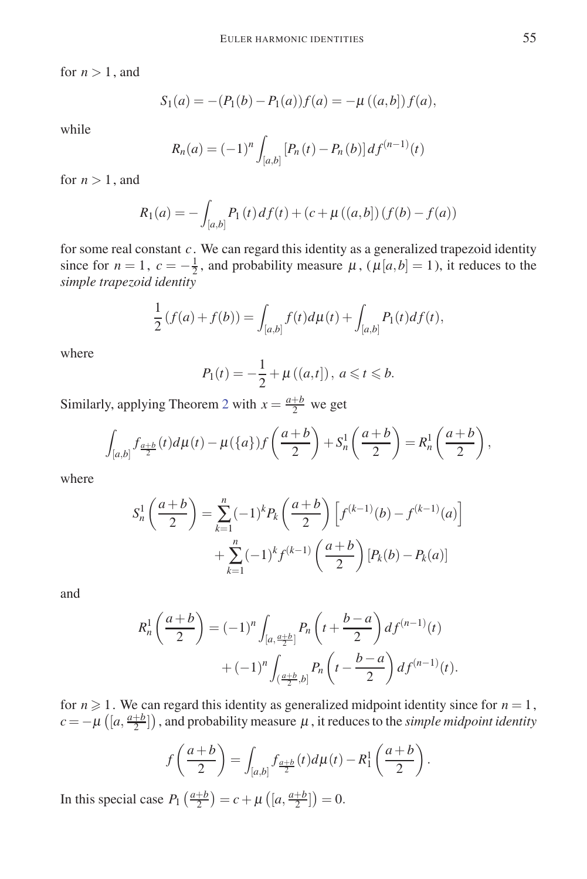for  $n > 1$ , and

$$
S_1(a) = -(P_1(b) - P_1(a))f(a) = -\mu((a, b])f(a),
$$

while

$$
R_n(a) = (-1)^n \int_{[a,b]} [P_n(t) - P_n(b)] df^{(n-1)}(t)
$$

for  $n > 1$ , and

$$
R_1(a) = -\int_{[a,b]} P_1(t) df(t) + (c + \mu((a,b))(f(b) - f(a))
$$

for some real constant *c*. We can regard this identity as a generalized trapezoid identity since for  $n = 1$ ,  $c = -\frac{1}{2}$ , and probability measure  $\mu$ ,  $(\mu[a, b] = 1)$ , it reduces to the *simple trapezoid identity*

$$
\frac{1}{2}(f(a) + f(b)) = \int_{[a,b]} f(t) d\mu(t) + \int_{[a,b]} P_1(t) df(t),
$$

where

$$
P_1(t) = -\frac{1}{2} + \mu((a,t]), \ a \leq t \leq b.
$$

Similarly, applying Theorem 2 with  $x = \frac{a+b}{2}$  we get

$$
\int_{[a,b]} f_{\frac{a+b}{2}}(t) d\mu(t) - \mu({a}) f\left(\frac{a+b}{2}\right) + S_n^1\left(\frac{a+b}{2}\right) = R_n^1\left(\frac{a+b}{2}\right),
$$

where

$$
S_n^1\left(\frac{a+b}{2}\right) = \sum_{k=1}^n (-1)^k P_k\left(\frac{a+b}{2}\right) \left[f^{(k-1)}(b) - f^{(k-1)}(a)\right] + \sum_{k=1}^n (-1)^k f^{(k-1)}\left(\frac{a+b}{2}\right) \left[P_k(b) - P_k(a)\right]
$$

and

$$
R_n^1\left(\frac{a+b}{2}\right) = (-1)^n \int_{[a,\frac{a+b}{2}]} P_n\left(t + \frac{b-a}{2}\right) df^{(n-1)}(t) + (-1)^n \int_{(\frac{a+b}{2},b]} P_n\left(t - \frac{b-a}{2}\right) df^{(n-1)}(t).
$$

for  $n \geq 1$ . We can regard this identity as generalized midpoint identity since for  $n = 1$ ,  $c = -\mu\left(\left[a, \frac{a+b}{2}\right]\right)$ , and probability measure  $\mu$ , it reduces to the *simple midpoint identity* 

$$
f\left(\frac{a+b}{2}\right) = \int_{[a,b]} f_{\frac{a+b}{2}}(t) d\mu(t) - R_1^1\left(\frac{a+b}{2}\right).
$$

In this special case  $P_1\left(\frac{a+b}{2}\right) = c + \mu\left(\left[a, \frac{a+b}{2}\right]\right) = 0.$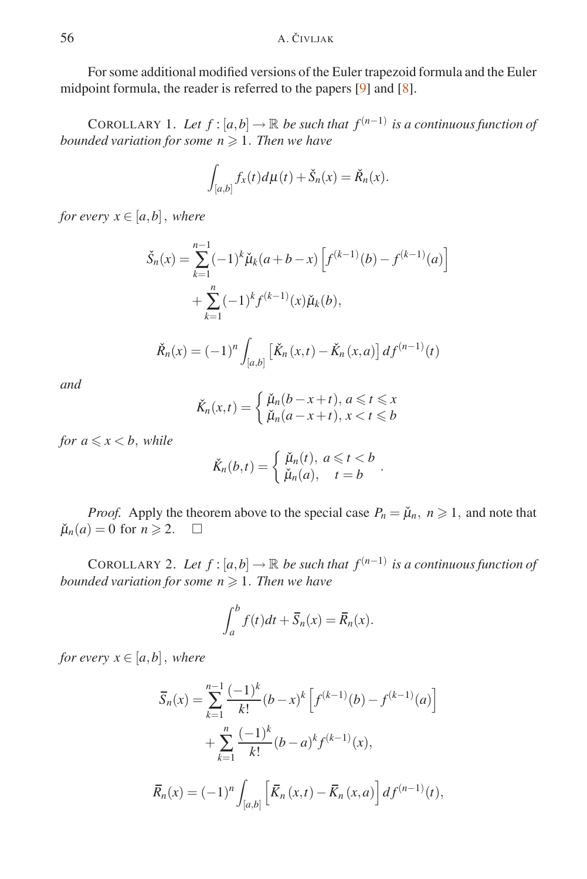For some additional modified versions of the Euler trapezoid formula and the Euler midpoint formula, the reader is referred to the papers [9] and [8].

COROLLARY 1. Let  $f$  :  $[a,b] \to \mathbb{R}$  be such that  $f^{(n-1)}$  is a continuous function of *bounded variation for some n* - 1*. Then we have*

$$
\int_{[a,b]} f_x(t) d\mu(t) + \check{S}_n(x) = \check{R}_n(x).
$$

*for every*  $x \in [a, b]$ *, where* 

$$
\check{S}_n(x) = \sum_{k=1}^{n-1} (-1)^k \check{\mu}_k(a+b-x) \left[ f^{(k-1)}(b) - f^{(k-1)}(a) \right]
$$

$$
+ \sum_{k=1}^n (-1)^k f^{(k-1)}(x) \check{\mu}_k(b),
$$

$$
\check{R}_n(x) = (-1)^n \int_{[a,b]} \left[ \check{K}_n(x,t) - \check{K}_n(x,a) \right] d f^{(n-1)}(t)
$$

*and*

$$
\check{K}_n(x,t) = \begin{cases} \check{\mu}_n(b-x+t), a \leq t \leq x \\ \check{\mu}_n(a-x+t), x < t \leq b \end{cases}
$$

*for*  $a \leq x \leq b$ *, while* 

$$
\breve{K}_n(b,t) = \begin{cases} \breve{\mu}_n(t), & a \leq t < b \\ \breve{\mu}_n(a), & t = b \end{cases}.
$$

*Proof.* Apply the theorem above to the special case  $P_n = \check{\mu}_n$ ,  $n \ge 1$ , and note that  $\tilde{\mu}_n(a) = 0$  for  $n \geq 2$ .  $\Box$ 

COROLLARY 2. Let  $f$  :  $[a,b] \to \mathbb{R}$  be such that  $f^{(n-1)}$  is a continuous function of *bounded variation for some n* - 1*. Then we have*

$$
\int_a^b f(t)dt + \overline{S}_n(x) = \overline{R}_n(x).
$$

*for every*  $x \in [a,b]$ *, where* 

$$
\overline{S}_n(x) = \sum_{k=1}^{n-1} \frac{(-1)^k}{k!} (b-x)^k \left[ f^{(k-1)}(b) - f^{(k-1)}(a) \right]
$$

$$
+ \sum_{k=1}^n \frac{(-1)^k}{k!} (b-a)^k f^{(k-1)}(x),
$$

$$
\overline{R}_n(x) = (-1)^n \int_{[a,b]} \left[ \overline{K}_n(x,t) - \overline{K}_n(x,a) \right] df^{(n-1)}(t),
$$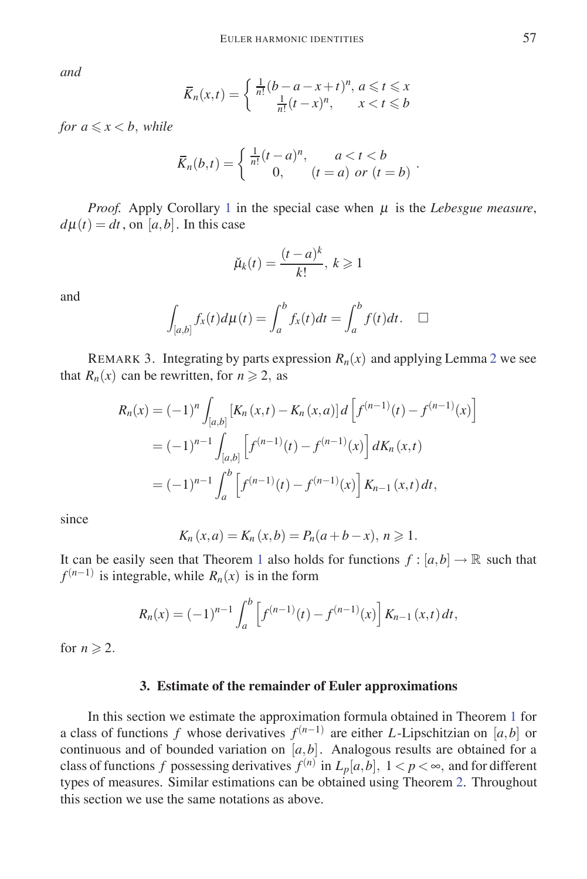*and*

$$
\overline{K}_n(x,t) = \begin{cases} \frac{1}{n!} (b-a-x+t)^n, \ a \leq t \leq x \\ \frac{1}{n!} (t-x)^n, \quad x < t \leq b \end{cases}
$$

*for*  $a \le x < b$ *, while* 

$$
\bar{K}_n(b,t) = \begin{cases} \frac{1}{n!}(t-a)^n, & a < t < b \\ 0, & (t = a) \text{ or } (t = b) \end{cases}.
$$

*Proof.* Apply Corollary 1 in the special case when  $\mu$  is the *Lebesgue measure*,  $d\mu(t) = dt$ , on [a, b]. In this case

$$
\check{\mu}_k(t) = \frac{(t-a)^k}{k!}, \, k \geq 1
$$

and

$$
\int_{[a,b]} f_x(t) d\mu(t) = \int_a^b f_x(t) dt = \int_a^b f(t) dt. \quad \Box
$$

REMARK 3. Integrating by parts expression  $R_n(x)$  and applying Lemma 2 we see that  $R_n(x)$  can be rewritten, for  $n \ge 2$ , as

$$
R_n(x) = (-1)^n \int_{[a,b]} \left[ K_n(x,t) - K_n(x,a) \right] d \left[ f^{(n-1)}(t) - f^{(n-1)}(x) \right]
$$
  
=  $(-1)^{n-1} \int_{[a,b]} \left[ f^{(n-1)}(t) - f^{(n-1)}(x) \right] dK_n(x,t)$   
=  $(-1)^{n-1} \int_a^b \left[ f^{(n-1)}(t) - f^{(n-1)}(x) \right] K_{n-1}(x,t) dt,$ 

since

$$
K_n(x, a) = K_n(x, b) = P_n(a + b - x), n \ge 1.
$$

It can be easily seen that Theorem 1 also holds for functions  $f : [a,b] \to \mathbb{R}$  such that  $f^{(n-1)}$  is integrable, while  $R_n(x)$  is in the form

$$
R_n(x) = (-1)^{n-1} \int_a^b \left[ f^{(n-1)}(t) - f^{(n-1)}(x) \right] K_{n-1}(x,t) dt,
$$

for  $n \geqslant 2$ .

#### **3. Estimate of the remainder of Euler approximations**

In this section we estimate the approximation formula obtained in Theorem 1 for a class of functions *f* whose derivatives  $f^{(n-1)}$  are either *L*-Lipschitzian on [*a*,*b*] or continuous and of bounded variation on [*a,b*]. Analogous results are obtained for a class of functions *f* possessing derivatives  $f^{(n)}$  in  $L_p[a,b]$ ,  $1 < p < \infty$ , and for different types of measures. Similar estimations can be obtained using Theorem 2. Throughout this section we use the same notations as above.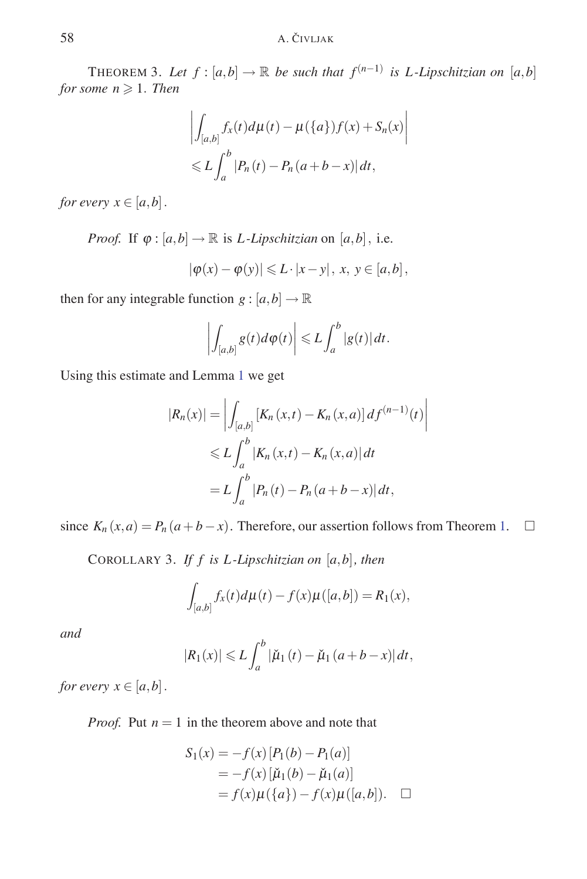THEOREM 3. Let  $f : [a,b] \to \mathbb{R}$  be such that  $f^{(n-1)}$  is L-Lipschitzian on  $[a,b]$  $for some n \geqslant 1.$  *Then* 

$$
\left| \int_{[a,b]} f_x(t) d\mu(t) - \mu({a}) f(x) + S_n(x) \right|
$$
  

$$
\leq L \int_a^b |P_n(t) - P_n(a+b-x)| dt,
$$

*for every*  $x \in [a, b]$ .

*Proof.* If  $\varphi$  :  $[a,b] \to \mathbb{R}$  is *L*-*Lipschitzian* on  $[a,b]$ *,* i.e.

$$
|\varphi(x)-\varphi(y)|\leqslant L\cdot|x-y|, x, y\in[a,b],
$$

then for any integrable function  $g : [a, b] \rightarrow \mathbb{R}$ 

$$
\left|\int_{[a,b]}g(t)d\varphi(t)\right|\leqslant L\int_a^b|g(t)|dt.
$$

Using this estimate and Lemma 1 we get

$$
|R_n(x)| = \left| \int_{[a,b]} [K_n(x,t) - K_n(x,a)] df^{(n-1)}(t) \right|
$$
  
\n
$$
\leq L \int_a^b |K_n(x,t) - K_n(x,a)| dt
$$
  
\n
$$
= L \int_a^b |P_n(t) - P_n(a+b-x)| dt,
$$

 $\overline{\phantom{a}}$  $\overline{\phantom{a}}$  $\overline{\phantom{a}}$  $\overline{\phantom{a}}$ 

since  $K_n(x, a) = P_n(a + b - x)$ . Therefore, our assertion follows from Theorem 1.  $\Box$ 

COROLLARY 3. *If f is L -Lipschitzian on* [*a,b*]*, then*

$$
\int_{[a,b]} f_x(t) d\mu(t) - f(x)\mu([a,b]) = R_1(x),
$$

*and*

$$
|R_1(x)| \leq L \int_a^b |\check{\mu}_1(t) - \check{\mu}_1(a+b-x)| dt,
$$

*for every*  $x \in [a, b]$ .

*Proof.* Put  $n = 1$  in the theorem above and note that

$$
S_1(x) = -f(x) [P_1(b) - P_1(a)]
$$
  
= -f(x) [\check{\mu}\_1(b) - \check{\mu}\_1(a)]  
= f(x) \mu({a}) - f(x) \mu([a, b]). \quad \Box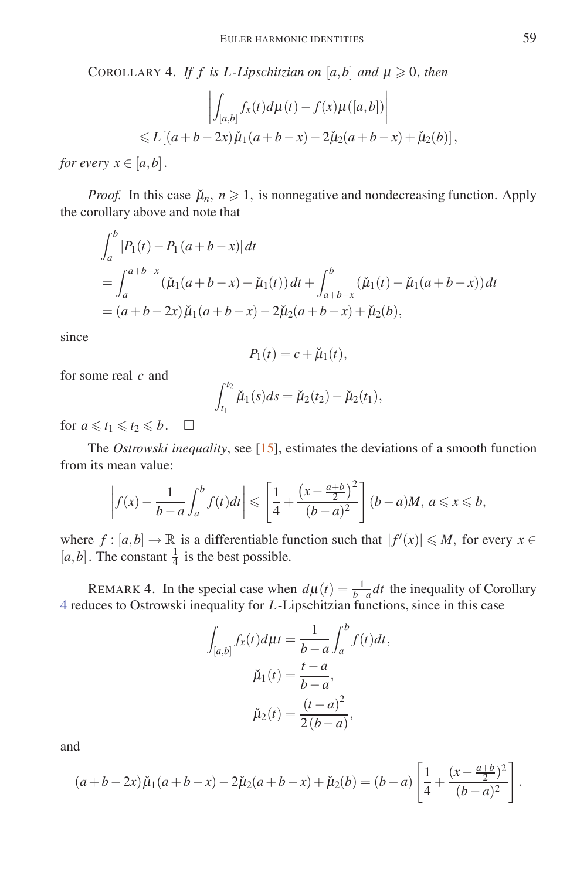COROLLARY 4. *If f is L-Lipschitzian on* [ $a$ , $b$ ] *and*  $\mu \ge 0$ , *then* 

$$
\left| \int_{[a,b]} f_x(t) d\mu(t) - f(x) \mu([a,b]) \right|
$$
  
\$\le L[(a+b-2x)\check{\mu}\_1(a+b-x)-2\check{\mu}\_2(a+b-x)+\check{\mu}\_2(b)],\$

*for every*  $x \in [a, b]$ .

*Proof.* In this case  $\mu_n$ ,  $n \geq 1$ , is nonnegative and nondecreasing function. Apply the corollary above and note that

$$
\int_{a}^{b} |P_1(t) - P_1(a+b-x)| dt
$$
  
= 
$$
\int_{a}^{a+b-x} (\check{\mu}_1(a+b-x) - \check{\mu}_1(t)) dt + \int_{a+b-x}^{b} (\check{\mu}_1(t) - \check{\mu}_1(a+b-x)) dt
$$
  
= 
$$
(a+b-2x) \check{\mu}_1(a+b-x) - 2 \check{\mu}_2(a+b-x) + \check{\mu}_2(b),
$$

since

$$
P_1(t) = c + \check{\mu}_1(t),
$$

for some real *c* and

$$
\int_{t_1}^{t_2} \check{\mu}_1(s) ds = \check{\mu}_2(t_2) - \check{\mu}_2(t_1),
$$

for  $a \leq t_1 \leq t_2 \leq b$ .  $\Box$ 

The *Ostrowski inequality*, see [15], estimates the deviations of a smooth function from its mean value:

$$
\left| f(x) - \frac{1}{b-a} \int_a^b f(t)dt \right| \leq \left[ \frac{1}{4} + \frac{\left(x - \frac{a+b}{2}\right)^2}{(b-a)^2} \right] (b-a)M, \ a \leq x \leq b,
$$

where  $f : [a,b] \to \mathbb{R}$  is a differentiable function such that  $|f'(x)| \leq M$ , for every  $x \in$  $[a,b]$ . The constant  $\frac{1}{4}$  is the best possible.

REMARK 4. In the special case when  $d\mu(t) = \frac{1}{b-a} dt$  the inequality of Corollary 4 reduces to Ostrowski inequality for *L*-Lipschitzian functions, since in this case

$$
\int_{[a,b]} f_x(t) d\mu t = \frac{1}{b-a} \int_a^b f(t) dt,
$$

$$
\check{\mu}_1(t) = \frac{t-a}{b-a},
$$

$$
\check{\mu}_2(t) = \frac{(t-a)^2}{2(b-a)},
$$

and

$$
(a+b-2x)\check{\mu}_1(a+b-x)-2\check{\mu}_2(a+b-x)+\check{\mu}_2(b)=(b-a)\left[\frac{1}{4}+\frac{(x-\frac{a+b}{2})^2}{(b-a)^2}\right].
$$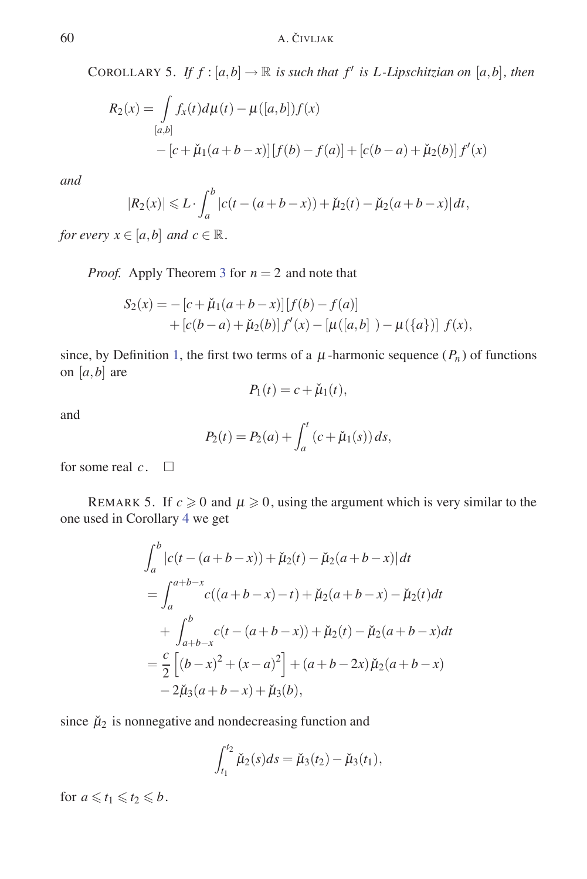COROLLARY 5. *If*  $f$  :  $[a,b] \rightarrow \mathbb{R}$  *is such that*  $f'$  *is L-Lipschitzian on*  $[a,b]$ *, then* 

$$
R_2(x) = \int_{[a,b]} f_x(t) d\mu(t) - \mu([a,b]) f(x)
$$
  
– [c +  $\check{\mu}_1(a+b-x)][f(b) - f(a)] + [c(b-a) + \check{\mu}_2(b)] f'(x)$ 

*and*

$$
|R_2(x)| \le L \cdot \int_a^b |c(t - (a+b-x)) + \check{\mu}_2(t) - \check{\mu}_2(a+b-x)| dt,
$$

*for every*  $x \in [a, b]$  *and*  $c \in \mathbb{R}$ *.* 

*Proof.* Apply Theorem 3 for *n* = 2 and note that

$$
S_2(x) = -[c + \check{\mu}_1(a+b-x)][f(b) - f(a)]+ [c(b-a) + \check{\mu}_2(b)]f'(x) - [\mu([a,b]) - \mu({a})][f(x),
$$

since, by Definition 1, the first two terms of a  $\mu$ -harmonic sequence ( $P_n$ ) of functions on  $[a, b]$  are

$$
P_1(t) = c + \check{\mu}_1(t),
$$

and

$$
P_2(t) = P_2(a) + \int_a^t (c + \check{\mu}_1(s)) ds,
$$

for some real  $c$ .  $\square$ 

REMARK 5. If  $c \ge 0$  and  $\mu \ge 0$ , using the argument which is very similar to the one used in Corollary 4 we get

$$
\int_{a}^{b} |c(t - (a+b-x)) + \check{\mu}_{2}(t) - \check{\mu}_{2}(a+b-x)| dt
$$
\n
$$
= \int_{a}^{a+b-x} c((a+b-x)-t) + \check{\mu}_{2}(a+b-x) - \check{\mu}_{2}(t) dt
$$
\n
$$
+ \int_{a+b-x}^{b} c(t - (a+b-x)) + \check{\mu}_{2}(t) - \check{\mu}_{2}(a+b-x) dt
$$
\n
$$
= \frac{c}{2} \left[ (b-x)^{2} + (x-a)^{2} \right] + (a+b-2x) \check{\mu}_{2}(a+b-x)
$$
\n
$$
-2\check{\mu}_{3}(a+b-x) + \check{\mu}_{3}(b),
$$

since  $\mu_2$  is nonnegative and nondecreasing function and

$$
\int_{t_1}^{t_2} \check{\mu}_2(s) ds = \check{\mu}_3(t_2) - \check{\mu}_3(t_1),
$$

for  $a \leq t_1 \leq t_2 \leq b$ .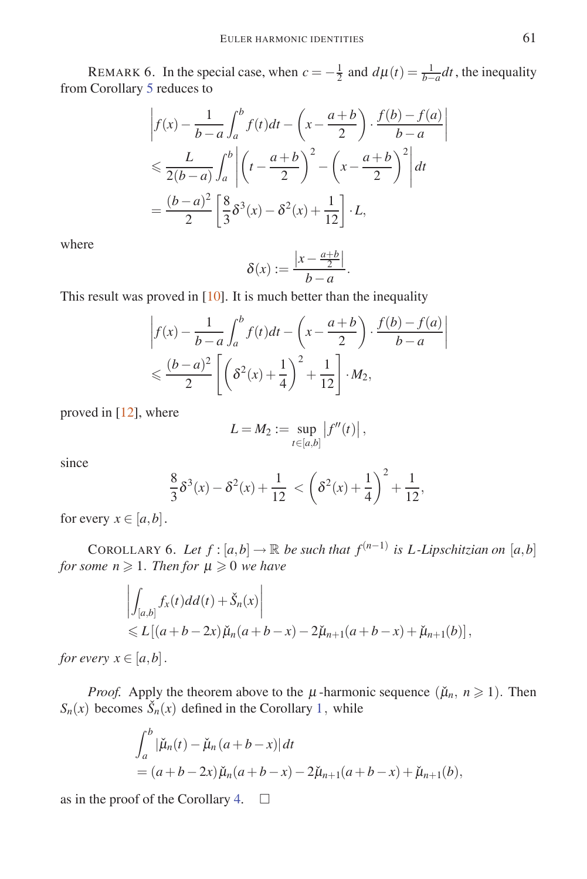REMARK 6. In the special case, when  $c = -\frac{1}{2}$  and  $d\mu(t) = \frac{1}{b-a}dt$ , the inequality from Corollary 5 reduces to

$$
\left| f(x) - \frac{1}{b-a} \int_a^b f(t)dt - \left( x - \frac{a+b}{2} \right) \cdot \frac{f(b) - f(a)}{b-a} \right|
$$
  
\n
$$
\leq \frac{L}{2(b-a)} \int_a^b \left| \left( t - \frac{a+b}{2} \right)^2 - \left( x - \frac{a+b}{2} \right)^2 \right| dt
$$
  
\n
$$
= \frac{(b-a)^2}{2} \left[ \frac{8}{3} \delta^3(x) - \delta^2(x) + \frac{1}{12} \right] \cdot L,
$$

where

$$
\delta(x) := \frac{\left|x - \frac{a+b}{2}\right|}{b-a}.
$$

This result was proved in  $[10]$ . It is much better than the inequality

$$
\left| f(x) - \frac{1}{b-a} \int_a^b f(t)dt - \left( x - \frac{a+b}{2} \right) \cdot \frac{f(b) - f(a)}{b-a} \right|
$$
  

$$
\leq \frac{(b-a)^2}{2} \left[ \left( \delta^2(x) + \frac{1}{4} \right)^2 + \frac{1}{12} \right] \cdot M_2,
$$

proved in [12], where

$$
L=M_2:=\sup_{t\in[a,b]}|f''(t)|,
$$

since

$$
\frac{8}{3}\delta^3(x) - \delta^2(x) + \frac{1}{12} < \left(\delta^2(x) + \frac{1}{4}\right)^2 + \frac{1}{12},
$$

for every  $x \in [a, b]$ .

COROLLARY 6. Let  $f : [a,b] \to \mathbb{R}$  be such that  $f^{(n-1)}$  is L-Lipschitzian on  $[a,b]$  $for some n \geqslant 1$ *. Then for*  $\mu \geqslant 0$  *we have* 

$$
\left| \int_{[a,b]} f_x(t)dd(t) + \check{S}_n(x) \right|
$$
  
\$\leq L[(a+b-2x)\check{\mu}\_n(a+b-x)-2\check{\mu}\_{n+1}(a+b-x)+\check{\mu}\_{n+1}(b)]\$,

*for every*  $x \in [a, b]$ .

*Proof.* Apply the theorem above to the  $\mu$ -harmonic sequence  $(\check{\mu}_n, n \geq 1)$ . Then  $S_n(x)$  becomes  $\check{S}_n(x)$  defined in the Corollary 1, while

$$
\int_{a}^{b} |\check{\mu}_n(t) - \check{\mu}_n(a+b-x)| dt
$$
  
=  $(a+b-2x)\check{\mu}_n(a+b-x) - 2\check{\mu}_{n+1}(a+b-x) + \check{\mu}_{n+1}(b),$ 

as in the proof of the Corollary 4.  $\Box$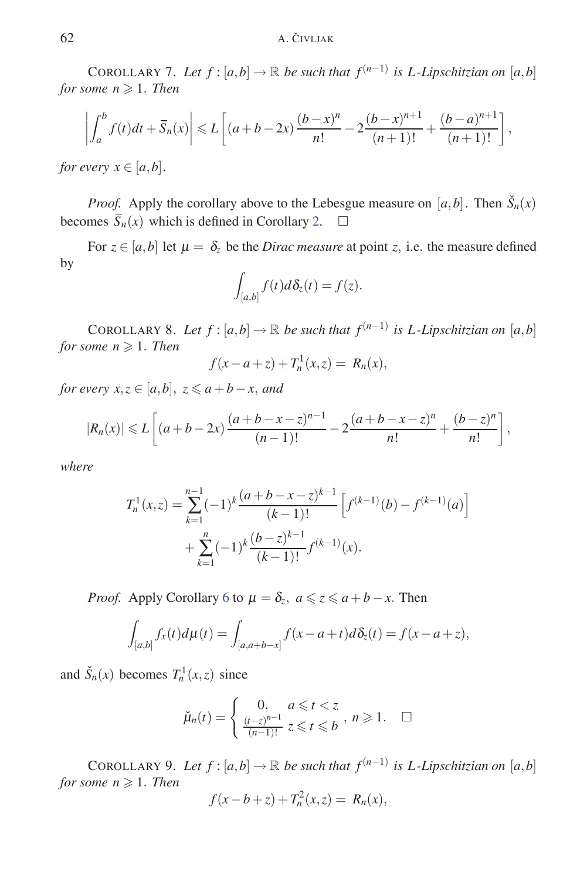### 62 A. ČIVLJAK

COROLLARY 7. Let  $f : [a,b] \to \mathbb{R}$  be such that  $f^{(n-1)}$  is L-Lipschitzian on [a,b]  $for some n \geqslant 1.$  *Then* 

$$
\left| \int_{a}^{b} f(t)dt + \overline{S}_{n}(x) \right| \leqslant L \left[ (a+b-2x) \frac{(b-x)^{n}}{n!} - 2 \frac{(b-x)^{n+1}}{(n+1)!} + \frac{(b-a)^{n+1}}{(n+1)!} \right],
$$

*for every*  $x \in [a, b]$ *.* 

*Proof.* Apply the corollary above to the Lebesgue measure on  $[a,b]$ . Then  $\check{S}_n(x)$ becomes  $\overline{S}_n(x)$  which is defined in Corollary 2.  $\square$ 

For  $z \in [a, b]$  let  $\mu = \delta_z$  be the *Dirac measure* at point *z*, i.e. the measure defined by

$$
\int_{[a,b]} f(t) d\delta_z(t) = f(z).
$$

COROLLARY 8. Let  $f : [a,b] \to \mathbb{R}$  be such that  $f^{(n-1)}$  is L-Lipschitzian on  $[a,b]$  $for some n \geqslant 1.$  *Then* 

$$
f(x - a + z) + T_n^1(x, z) = R_n(x),
$$

*for every*  $x, z \in [a, b], z \le a + b - x$ *, and* 

$$
|R_n(x)| \leq L\left[ (a+b-2x)\frac{(a+b-x-z)^{n-1}}{(n-1)!} - 2\frac{(a+b-x-z)^n}{n!} + \frac{(b-z)^n}{n!} \right],
$$

*where*

$$
T_n^1(x, z) = \sum_{k=1}^{n-1} (-1)^k \frac{(a+b-x-z)^{k-1}}{(k-1)!} \left[ f^{(k-1)}(b) - f^{(k-1)}(a) \right] + \sum_{k=1}^n (-1)^k \frac{(b-z)^{k-1}}{(k-1)!} f^{(k-1)}(x).
$$

*Proof.* Apply Corollary 6 to  $\mu = \delta_z$ ,  $a \leq z \leq a + b - x$ . Then

$$
\int_{[a,b]} f_x(t) d\mu(t) = \int_{[a,a+b-x]} f(x-a+t) d\delta_{z}(t) = f(x-a+z),
$$

and  $\check{S}_n(x)$  becomes  $T_n^1(x, z)$  since

$$
\check{\mu}_n(t) = \begin{cases} 0, & a \leq t < z \\ \frac{(t-z)^{n-1}}{(n-1)!} & z \leq t \leq b \end{cases}, \ n \geq 1. \quad \Box
$$

COROLLARY 9. Let  $f : [a,b] \to \mathbb{R}$  be such that  $f^{(n-1)}$  is L-Lipschitzian on  $[a,b]$  $for some n \geqslant 1.$  *Then* 

$$
f(x - b + z) + T_n^2(x, z) = R_n(x),
$$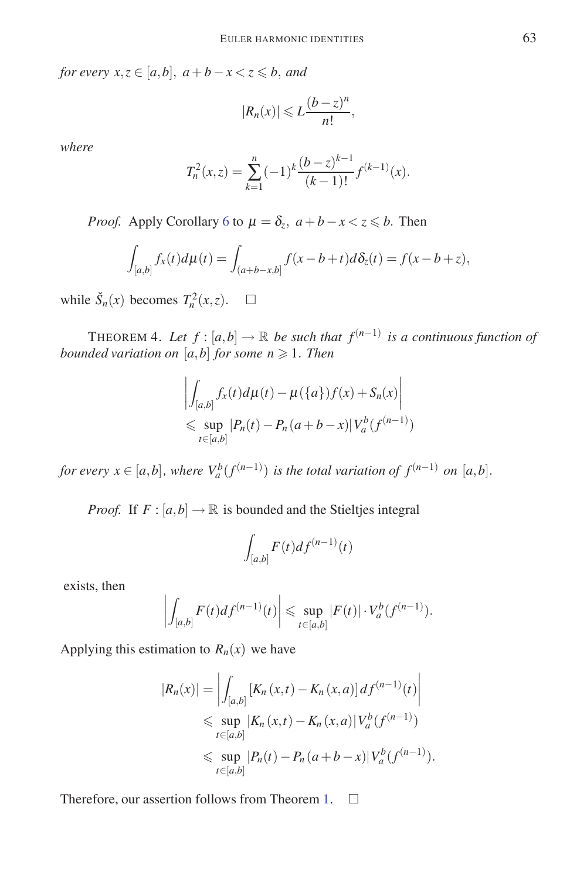*for every*  $x, z \in [a, b]$ ,  $a + b - x < z \le b$ , and

$$
|R_n(x)| \leqslant L \frac{(b-z)^n}{n!},
$$

*where*

$$
T_n^2(x,z) = \sum_{k=1}^n (-1)^k \frac{(b-z)^{k-1}}{(k-1)!} f^{(k-1)}(x).
$$

*Proof.* Apply Corollary 6 to  $\mu = \delta_z$ ,  $a + b - x < z \le b$ . Then

$$
\int_{[a,b]} f_x(t) d\mu(t) = \int_{(a+b-x,b]} f(x-b+t) d\delta_z(t) = f(x-b+z),
$$

while  $\check{S}_n(x)$  becomes  $T_n^2(x, z)$ .  $\square$ 

THEOREM 4. Let  $f : [a,b] \to \mathbb{R}$  be such that  $f^{(n-1)}$  is a continuous function of *bounded variation on*  $[a,b]$  *for some n*  $\geqslant$  1*. Then* 

$$
\left| \int_{[a,b]} f_x(t) d\mu(t) - \mu({a}) f(x) + S_n(x) \right|
$$
  
\n
$$
\leq \sup_{t \in [a,b]} |P_n(t) - P_n(a+b-x)| V_a^b(f^{(n-1)})
$$

*for every*  $x \in [a,b]$ *, where*  $V_a^b(f^{(n-1)})$  *is the total variation of*  $f^{(n-1)}$  *on*  $[a,b]$ *.* 

*Proof.* If  $F : [a, b] \rightarrow \mathbb{R}$  is bounded and the Stieltjes integral

$$
\int_{[a,b]} F(t) df^{(n-1)}(t)
$$

exists, then

$$
\left| \int_{[a,b]} F(t) df^{(n-1)}(t) \right| \leqslant \sup_{t \in [a,b]} |F(t)| \cdot V_a^b(f^{(n-1)}).
$$

Applying this estimation to  $R_n(x)$  we have

$$
|R_n(x)| = \left| \int_{[a,b]} \left[ K_n(x,t) - K_n(x,a) \right] df^{(n-1)}(t) \right|
$$
  
\$\leq\$ sup  $|K_n(x,t) - K_n(x,a)| V_a^b(f^{(n-1)})$   
\$\leq\$ sup  $|P_n(t) - P_n(a+b-x)| V_a^b(f^{(n-1)})$ .

Therefore, our assertion follows from Theorem 1.  $\Box$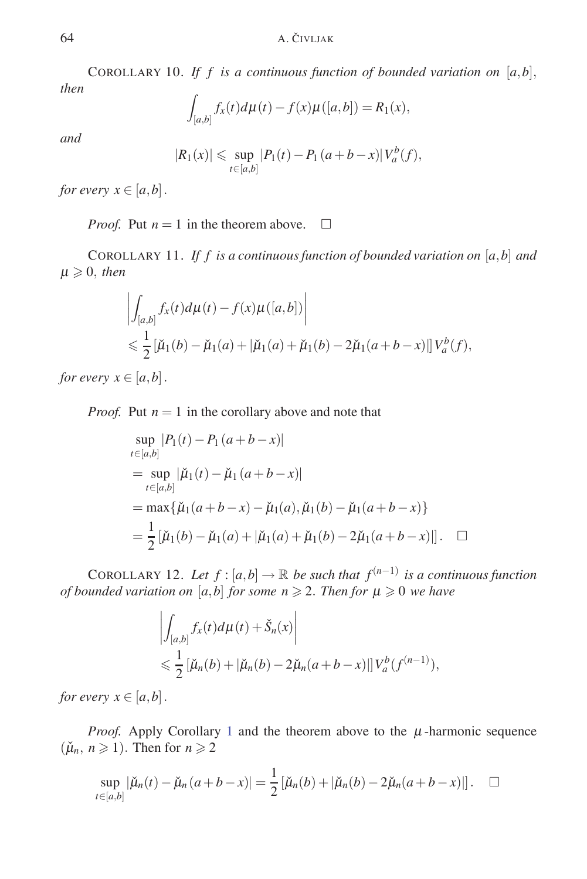COROLLARY 10. If f is a continuous function of bounded variation on  $[a,b]$ , *then*

$$
\int_{[a,b]} f_x(t) d\mu(t) - f(x)\mu([a,b]) = R_1(x),
$$

*and*

$$
|R_1(x)| \le \sup_{t \in [a,b]} |P_1(t) - P_1(a+b-x)|V_a^b(f),
$$

*for every*  $x \in [a, b]$ *.* 

*Proof.* Put  $n = 1$  in the theorem above.  $\Box$ 

COROLLARY 11. *If f is a continuous function of bounded variation on* [*a,b*] *and*  $\mu \geqslant 0$ , *then* 

$$
\left| \int_{[a,b]} f_x(t) d\mu(t) - f(x) \mu([a,b]) \right|
$$
  
\n
$$
\leq \frac{1}{2} [\check{\mu}_1(b) - \check{\mu}_1(a) + |\check{\mu}_1(a) + \check{\mu}_1(b) - 2\check{\mu}_1(a+b-x)] |V_a^b(f),
$$

*for every*  $x \in [a, b]$ .

*Proof.* Put  $n = 1$  in the corollary above and note that

$$
\sup_{t \in [a,b]} |P_1(t) - P_1(a+b-x)|
$$
  
= 
$$
\sup_{t \in [a,b]} |\check{\mu}_1(t) - \check{\mu}_1(a+b-x)|
$$
  
= 
$$
\max{\{\check{\mu}_1(a+b-x) - \check{\mu}_1(a), \check{\mu}_1(b) - \check{\mu}_1(a+b-x)\}}
$$
  
= 
$$
\frac{1}{2} [\check{\mu}_1(b) - \check{\mu}_1(a) + |\check{\mu}_1(a) + \check{\mu}_1(b) - 2\check{\mu}_1(a+b-x)]
$$
.

COROLLARY 12. Let  $f : [a,b] \to \mathbb{R}$  be such that  $f^{(n-1)}$  is a continuous function *of bounded variation on*  $[a,b]$  *for some n*  $\geq$  2. *Then for*  $\mu \geq 0$  *we have* 

$$
\left| \int_{[a,b]} f_x(t) d\mu(t) + \check{S}_n(x) \right|
$$
  
\n
$$
\leq \frac{1}{2} [\check{\mu}_n(b) + |\check{\mu}_n(b) - 2\check{\mu}_n(a+b-x)|] V_a^b(f^{(n-1)}),
$$

*for every*  $x \in [a, b]$ .

*Proof.* Apply Corollary 1 and the theorem above to the  $\mu$ -harmonic sequence  $(\check{\mu}_n, n \geq 1)$ . Then for  $n \geq 2$ 

$$
\sup_{t \in [a,b]} |\check{\mu}_n(t) - \check{\mu}_n(a+b-x)| = \frac{1}{2} [\check{\mu}_n(b) + |\check{\mu}_n(b) - 2\check{\mu}_n(a+b-x)|]. \quad \Box
$$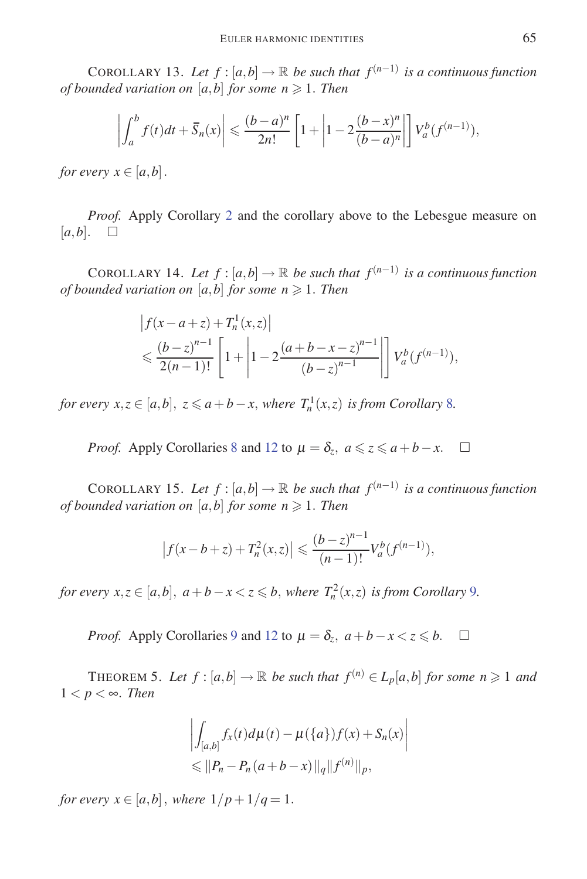COROLLARY 13. Let  $f : [a,b] \to \mathbb{R}$  be such that  $f^{(n-1)}$  is a continuous function *of bounded variation on*  $[a,b]$  *for some n*  $\geqslant$  1*. Then* 

$$
\left|\int_a^b f(t)dt + \overline{S}_n(x)\right| \leqslant \frac{(b-a)^n}{2n!} \left[1 + \left|1 - 2\frac{(b-x)^n}{(b-a)^n}\right|\right] V_a^b(f^{(n-1)}),
$$

*for every*  $x \in [a, b]$ .

*Proof.* Apply Corollary 2 and the corollary above to the Lebesgue measure on  $[a,b]$ .  $\square$ 

COROLLARY 14. Let  $f : [a,b] \to \mathbb{R}$  be such that  $f^{(n-1)}$  is a continuous function *of bounded variation on*  $[a,b]$  *for some n*  $\geq$  1*. Then* 

$$
\begin{aligned} \left| f(x-a+z) + T_n^1(x,z) \right| \\ &\leq \frac{(b-z)^{n-1}}{2(n-1)!} \left[ 1 + \left| 1 - 2\frac{(a+b-x-z)^{n-1}}{(b-z)^{n-1}} \right| \right] V_a^b(f^{(n-1)}), \end{aligned}
$$

*for every*  $x, z \in [a, b]$ ,  $z \le a + b - x$ , where  $T_n^1(x, z)$  *is from Corollary* 8*.* 

*Proof.* Apply Corollaries 8 and 12 to  $\mu = \delta_z$ ,  $a \leq z \leq a + b - x$ .  $\Box$ 

COROLLARY 15. Let  $f : [a,b] \to \mathbb{R}$  be such that  $f^{(n-1)}$  is a continuous function *of bounded variation on*  $[a,b]$  *for some n*  $\geq$  1*. Then* 

$$
\left|f(x-b+z)+T_n^2(x,z)\right| \leqslant \frac{(b-z)^{n-1}}{(n-1)!}V_a^b(f^{(n-1)}),
$$

*for every*  $x, z \in [a, b]$ *,*  $a + b - x < z \le b$ *, where*  $T_n^2(x, z)$  *is from Corollary* 9*.* 

*Proof.* Apply Corollaries 9 and 12 to  $\mu = \delta_z$ ,  $a + b - x < z \le b$ .  $\Box$ 

THEOREM 5. Let  $f : [a,b] \to \mathbb{R}$  be such that  $f^{(n)} \in L_p[a,b]$  for some  $n \geqslant 1$  and  $1 < p < \infty$ *. Then* 

$$
\left| \int_{[a,b]} f_x(t) d\mu(t) - \mu({a}) f(x) + S_n(x) \right|
$$
  
\n
$$
\leq \| P_n - P_n(a+b-x) \|_q \| f^{(n)} \|_p,
$$

*for every*  $x \in [a, b]$ *, where*  $1/p + 1/q = 1$ *.*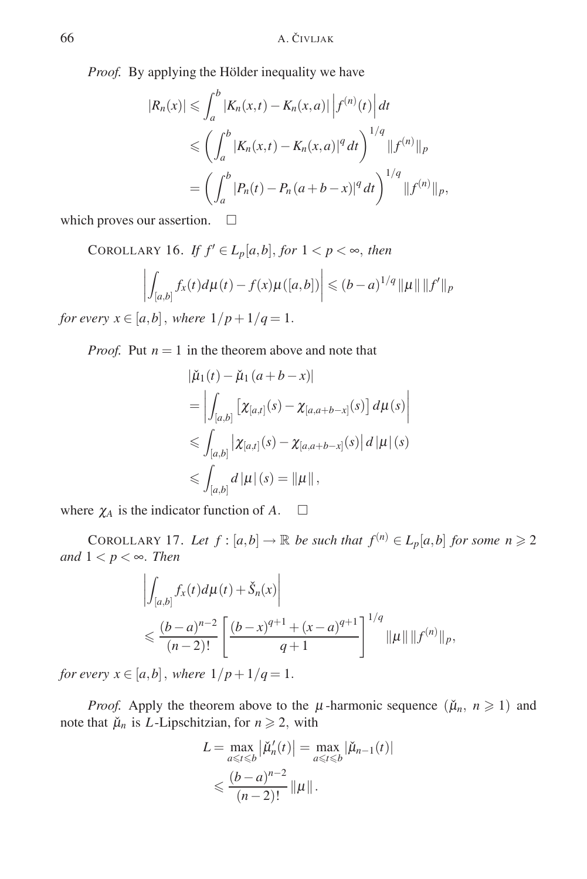*Proof.* By applying the Hölder inequality we have

$$
|R_n(x)| \leq \int_a^b |K_n(x,t) - K_n(x,a)| |f^{(n)}(t)| dt
$$
  
\n
$$
\leq \left( \int_a^b |K_n(x,t) - K_n(x,a)|^q dt \right)^{1/q} ||f^{(n)}||_p
$$
  
\n
$$
= \left( \int_a^b |P_n(t) - P_n(a+b-x)|^q dt \right)^{1/q} ||f^{(n)}||_p,
$$

which proves our assertion.  $\square$ 

COROLLARY 16. *If*  $f' \in L_p[a, b]$ *, for*  $1 < p < \infty$ *, then* 

$$
\left| \int_{[a,b]} f_x(t) d\mu(t) - f(x) \mu([a,b]) \right| \leq (b-a)^{1/q} \| \mu \| \| f' \|_p
$$

*for every*  $x \in [a, b]$ *, where*  $1/p + 1/q = 1$ *.* 

*Proof.* Put  $n = 1$  in the theorem above and note that

$$
\begin{aligned} |\check{\mu}_1(t) - \check{\mu}_1(a+b-x)| \\ &= \left| \int_{[a,b]} \left[ \chi_{[a,t]}(s) - \chi_{[a,a+b-x]}(s) \right] d\mu(s) \right| \\ &\leqslant \int_{[a,b]} \left| \chi_{[a,t]}(s) - \chi_{[a,a+b-x]}(s) \right| d\left| \mu \right| (s) \\ &\leqslant \int_{[a,b]} d\left| \mu \right| (s) = \left| \mu \right|, \end{aligned}
$$

where  $\chi_A$  is the indicator function of A.  $\Box$ 

COROLLARY 17. Let  $f : [a,b] \to \mathbb{R}$  be such that  $f^{(n)} \in L_p[a,b]$  for some  $n \geq 2$ *and*  $1 < p < \infty$ *. Then* 

$$
\left| \int_{[a,b]} f_x(t) d\mu(t) + \check{S}_n(x) \right|
$$
  
\$\leqslant \frac{(b-a)^{n-2}}{(n-2)!} \left[ \frac{(b-x)^{q+1} + (x-a)^{q+1}}{q+1} \right]^{1/q} ||\mu|| ||f^{(n)}||\_p,

*for every*  $x \in [a,b]$ *, where*  $1/p + 1/q = 1$ *.* 

*Proof.* Apply the theorem above to the  $\mu$ -harmonic sequence  $(\check{\mu}_n, n \ge 1)$  and note that  $\mu_n$  is *L*-Lipschitzian, for  $n \geq 2$ , with

$$
L = \max_{a \leq t \leq b} |\check{\mu}'_n(t)| = \max_{a \leq t \leq b} |\check{\mu}_{n-1}(t)|
$$
  

$$
\leq \frac{(b-a)^{n-2}}{(n-2)!} ||\mu||.
$$